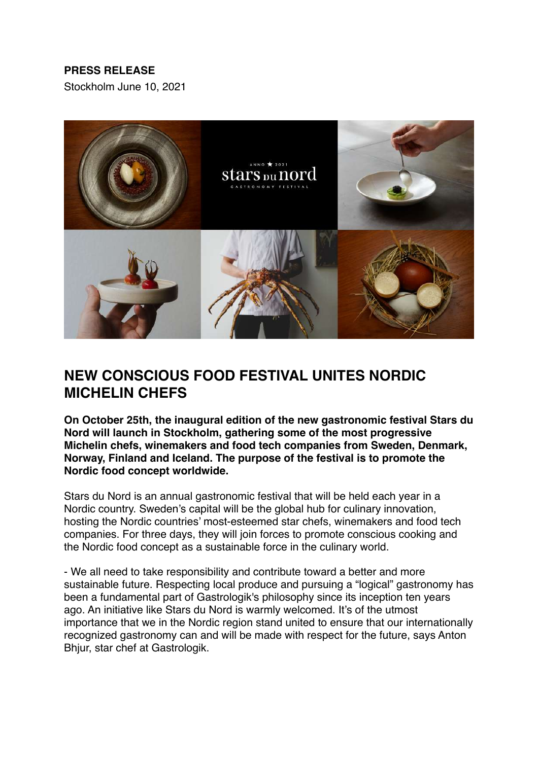# **PRESS RELEASE**

Stockholm June 10, 2021



# **NEW CONSCIOUS FOOD FESTIVAL UNITES NORDIC MICHELIN CHEFS**

**On October 25th, the inaugural edition of the new gastronomic festival Stars du Nord will launch in Stockholm, gathering some of the most progressive Michelin chefs, winemakers and food tech companies from Sweden, Denmark, Norway, Finland and Iceland. The purpose of the festival is to promote the Nordic food concept worldwide.**

Stars du Nord is an annual gastronomic festival that will be held each year in a Nordic country. Sweden's capital will be the global hub for culinary innovation, hosting the Nordic countries' most-esteemed star chefs, winemakers and food tech companies. For three days, they will join forces to promote conscious cooking and the Nordic food concept as a sustainable force in the culinary world.

- We all need to take responsibility and contribute toward a better and more sustainable future. Respecting local produce and pursuing a "logical" gastronomy has been a fundamental part of Gastrologik's philosophy since its inception ten years ago. An initiative like Stars du Nord is warmly welcomed. It's of the utmost importance that we in the Nordic region stand united to ensure that our internationally recognized gastronomy can and will be made with respect for the future, says Anton Bhjur, star chef at Gastrologik.